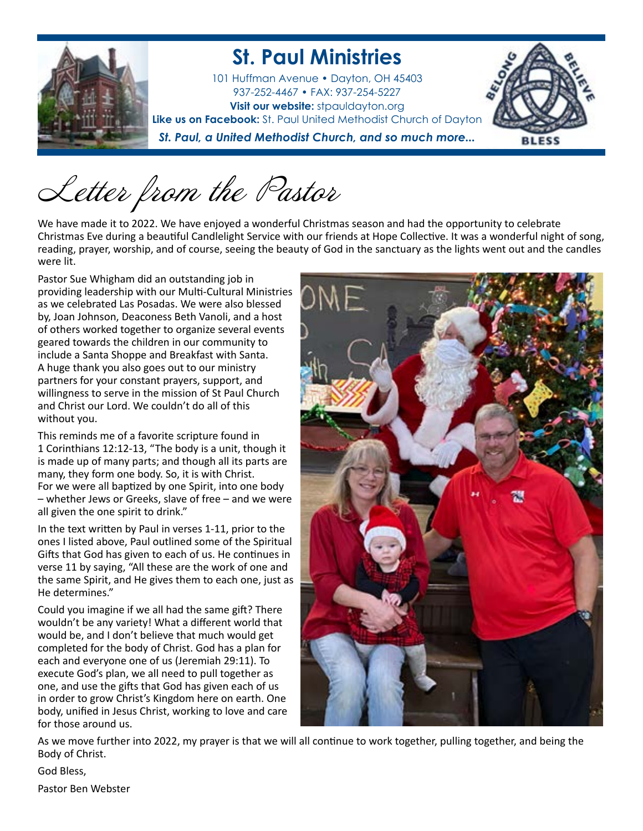

## **St. Paul Ministries**

101 Huffman Avenue • Dayton, OH 45403 937-252-4467 • FAX: 937-254-5227 **Visit our website:** stpauldayton.org **Like us on Facebook:** St. Paul United Methodist Church of Dayton

*St. Paul, a United Methodist Church, and so much more...*



Letter from the Pastor

We have made it to 2022. We have enjoyed a wonderful Christmas season and had the opportunity to celebrate Christmas Eve during a beautiful Candlelight Service with our friends at Hope Collective. It was a wonderful night of song, reading, prayer, worship, and of course, seeing the beauty of God in the sanctuary as the lights went out and the candles were lit.

Pastor Sue Whigham did an outstanding job in providing leadership with our Multi-Cultural Ministries as we celebrated Las Posadas. We were also blessed by, Joan Johnson, Deaconess Beth Vanoli, and a host of others worked together to organize several events geared towards the children in our community to include a Santa Shoppe and Breakfast with Santa. A huge thank you also goes out to our ministry partners for your constant prayers, support, and willingness to serve in the mission of St Paul Church and Christ our Lord. We couldn't do all of this without you.

This reminds me of a favorite scripture found in 1 Corinthians 12:12-13, "The body is a unit, though it is made up of many parts; and though all its parts are many, they form one body. So, it is with Christ. For we were all baptized by one Spirit, into one body – whether Jews or Greeks, slave of free – and we were all given the one spirit to drink."

In the text written by Paul in verses 1-11, prior to the ones I listed above, Paul outlined some of the Spiritual Gifts that God has given to each of us. He continues in verse 11 by saying, "All these are the work of one and the same Spirit, and He gives them to each one, just as He determines."

Could you imagine if we all had the same gift? There wouldn't be any variety! What a different world that would be, and I don't believe that much would get completed for the body of Christ. God has a plan for each and everyone one of us (Jeremiah 29:11). To execute God's plan, we all need to pull together as one, and use the gifts that God has given each of us in order to grow Christ's Kingdom here on earth. One body, unified in Jesus Christ, working to love and care for those around us.



As we move further into 2022, my prayer is that we will all continue to work together, pulling together, and being the Body of Christ.

God Bless,

Pastor Ben Webster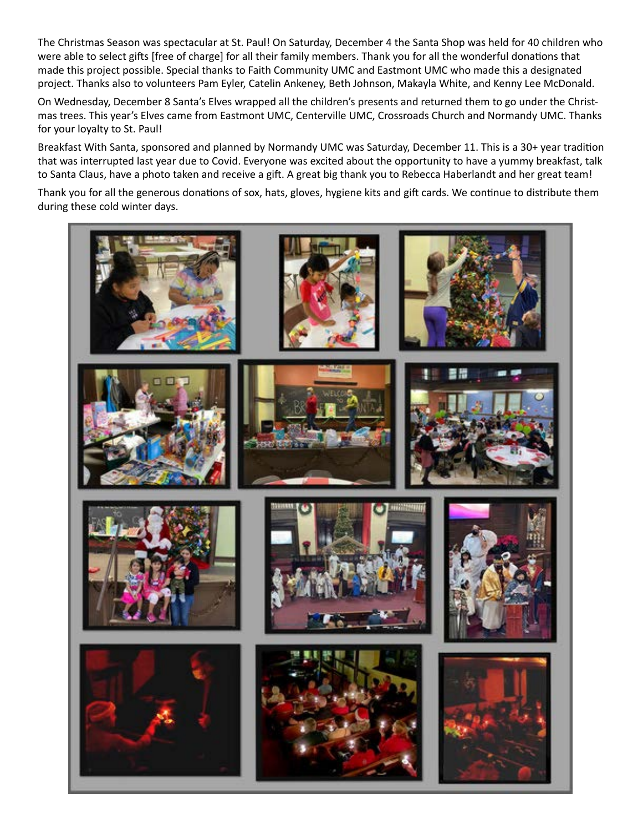The Christmas Season was spectacular at St. Paul! On Saturday, December 4 the Santa Shop was held for 40 children who were able to select gifts [free of charge] for all their family members. Thank you for all the wonderful donations that made this project possible. Special thanks to Faith Community UMC and Eastmont UMC who made this a designated project. Thanks also to volunteers Pam Eyler, Catelin Ankeney, Beth Johnson, Makayla White, and Kenny Lee McDonald.

On Wednesday, December 8 Santa's Elves wrapped all the children's presents and returned them to go under the Christmas trees. This year's Elves came from Eastmont UMC, Centerville UMC, Crossroads Church and Normandy UMC. Thanks for your loyalty to St. Paul!

Breakfast With Santa, sponsored and planned by Normandy UMC was Saturday, December 11. This is a 30+ year tradition that was interrupted last year due to Covid. Everyone was excited about the opportunity to have a yummy breakfast, talk to Santa Claus, have a photo taken and receive a gift. A great big thank you to Rebecca Haberlandt and her great team!

Thank you for all the generous donations of sox, hats, gloves, hygiene kits and gift cards. We continue to distribute them during these cold winter days.

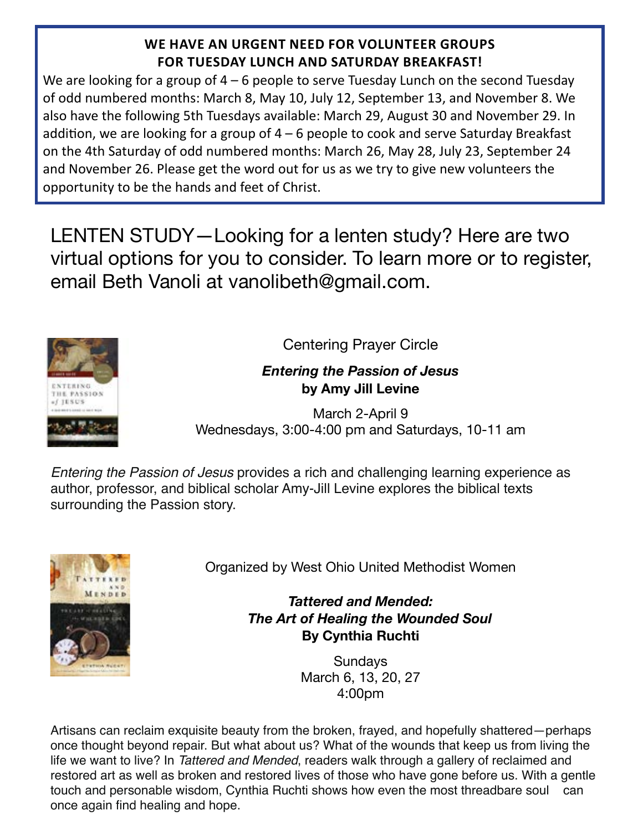## **WE HAVE AN URGENT NEED FOR VOLUNTEER GROUPS FOR TUESDAY LUNCH AND SATURDAY BREAKFAST!**

We are looking for a group of  $4 - 6$  people to serve Tuesday Lunch on the second Tuesday of odd numbered months: March 8, May 10, July 12, September 13, and November 8. We also have the following 5th Tuesdays available: March 29, August 30 and November 29. In addition, we are looking for a group of 4 – 6 people to cook and serve Saturday Breakfast on the 4th Saturday of odd numbered months: March 26, May 28, July 23, September 24 and November 26. Please get the word out for us as we try to give new volunteers the opportunity to be the hands and feet of Christ.

LENTEN STUDY—Looking for a lenten study? Here are two virtual options for you to consider. To learn more or to register, email Beth Vanoli at vanolibeth@gmail.com.



Centering Prayer Circle

## *Entering the Passion of Jesus* **by Amy Jill Levine**

March 2-April 9 Wednesdays, 3:00-4:00 pm and Saturdays, 10-11 am

*Entering the Passion of Jesus* provides a rich and challenging learning experience as author, professor, and biblical scholar Amy-Jill Levine explores the biblical texts surrounding the Passion story.



Organized by West Ohio United Methodist Women

*Tattered and Mended: The Art of Healing the Wounded Soul*  **By Cynthia Ruchti** 

> Sundays March 6, 13, 20, 27 4:00pm

Artisans can reclaim exquisite beauty from the broken, frayed, and hopefully shattered—perhaps once thought beyond repair. But what about us? What of the wounds that keep us from living the life we want to live? In *Tattered and Mended*, readers walk through a gallery of reclaimed and restored art as well as broken and restored lives of those who have gone before us. With a gentle touch and personable wisdom, Cynthia Ruchti shows how even the most threadbare soul can once again find healing and hope.